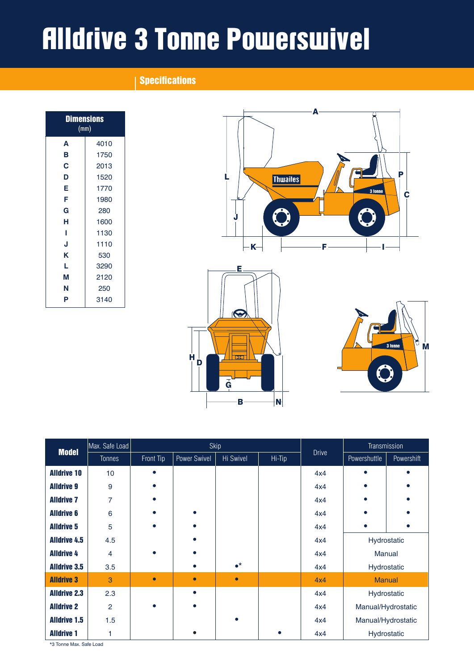# Alldrive 3 Tonne Powerswivel

# **Specifications**

| <b>Dimensions</b><br>(mm) |      |  |  |
|---------------------------|------|--|--|
| A                         | 4010 |  |  |
| в                         | 1750 |  |  |
| C                         | 2013 |  |  |
| D                         | 1520 |  |  |
| E                         | 1770 |  |  |
| F                         | 1980 |  |  |
| G                         | 280  |  |  |
| н                         | 1600 |  |  |
| ı                         | 1130 |  |  |
| J                         | 1110 |  |  |
| K                         | 530  |  |  |
| L                         | 3290 |  |  |
| М                         | 2120 |  |  |
| Ν                         | 250  |  |  |
| P                         | 3140 |  |  |



|                     | Max. Safe Load<br>Skip                     |              |           | Transmission      |              |              |                    |  |
|---------------------|--------------------------------------------|--------------|-----------|-------------------|--------------|--------------|--------------------|--|
|                     | <b>Model</b><br>Front Tip<br><b>Tonnes</b> | Power Swivel | Hi Swivel | Hi-Tip            | <b>Drive</b> | Powershuttle | Powershift         |  |
| <b>Alldrive 10</b>  | 10                                         |              |           |                   |              | 4x4          | $\bullet$          |  |
| <b>Alldrive 9</b>   | 9                                          |              |           |                   |              | 4x4          |                    |  |
| <b>Alldrive 7</b>   | 7                                          |              |           |                   |              | 4x4          |                    |  |
| <b>Alldrive 6</b>   | 6                                          |              |           |                   |              | 4x4          |                    |  |
| <b>Alldrive 5</b>   | 5                                          |              |           |                   |              | 4x4          |                    |  |
| <b>Alldrive 4.5</b> | 4.5                                        |              |           |                   |              | 4x4          | Hydrostatic        |  |
| <b>Alldrive 4</b>   | 4                                          |              |           |                   |              | 4x4          | <b>Manual</b>      |  |
| <b>Alldrive 3.5</b> | 3.5                                        |              |           | $\bullet^{\star}$ |              | 4x4          | Hydrostatic        |  |
| <b>Alldrive 3</b>   | 3                                          | $\bullet$    |           | $\bullet$         |              | 4x4          | <b>Manual</b>      |  |
| <b>Alldrive 2.3</b> | 2.3                                        |              |           |                   |              | 4x4          | Hydrostatic        |  |
| <b>Alldrive 2</b>   | $\overline{2}$                             |              |           |                   |              | 4x4          | Manual/Hydrostatic |  |
| <b>Alldrive 1.5</b> | 1.5                                        |              |           |                   |              | 4x4          | Manual/Hydrostatic |  |
| <b>Alldrive 1</b>   |                                            |              |           |                   | ٠            | 4x4          | Hydrostatic        |  |

\*3 Tonne Max. Safe Load